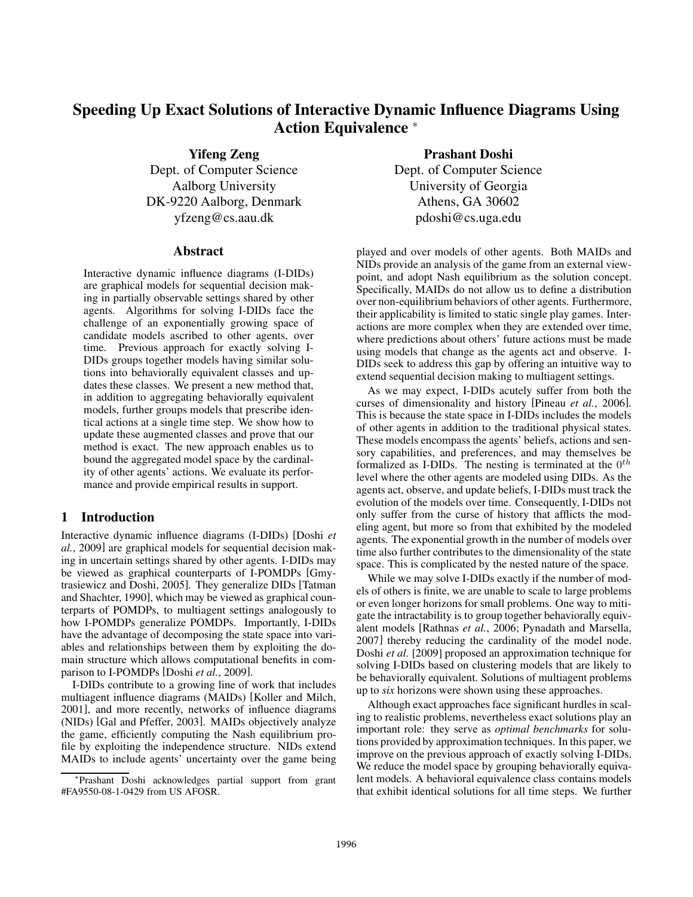# Speeding Up Exact Solutions of Interactive Dynamic Influence Diagrams Using Action Equivalence <sup>∗</sup>

Yifeng Zeng

Dept. of Computer Science Aalborg University DK-9220 Aalborg, Denmark yfzeng@cs.aau.dk

#### **Abstract**

Interactive dynamic influence diagrams (I-DIDs) are graphical models for sequential decision making in partially observable settings shared by other agents. Algorithms for solving I-DIDs face the challenge of an exponentially growing space of candidate models ascribed to other agents, over time. Previous approach for exactly solving I-DIDs groups together models having similar solutions into behaviorally equivalent classes and updates these classes. We present a new method that, in addition to aggregating behaviorally equivalent models, further groups models that prescribe identical actions at a single time step. We show how to update these augmented classes and prove that our method is exact. The new approach enables us to bound the aggregated model space by the cardinality of other agents' actions. We evaluate its performance and provide empirical results in support.

#### 1 Introduction

Interactive dynamic influence diagrams (I-DIDs) [Doshi *et al.*, 2009] are graphical models for sequential decision making in uncertain settings shared by other agents. I-DIDs may be viewed as graphical counterparts of I-POMDPs [Gmytrasiewicz and Doshi, 2005]. They generalize DIDs [Tatman and Shachter, 1990], which may be viewed as graphical counterparts of POMDPs, to multiagent settings analogously to how I-POMDPs generalize POMDPs. Importantly, I-DIDs have the advantage of decomposing the state space into variables and relationships between them by exploiting the domain structure which allows computational benefits in comparison to I-POMDPs [Doshi *et al.*, 2009].

I-DIDs contribute to a growing line of work that includes multiagent influence diagrams (MAIDs) [Koller and Milch, 2001], and more recently, networks of influence diagrams (NIDs) [Gal and Pfeffer, 2003]. MAIDs objectively analyze the game, efficiently computing the Nash equilibrium profile by exploiting the independence structure. NIDs extend MAIDs to include agents' uncertainty over the game being

Prashant Doshi Dept. of Computer Science University of Georgia Athens, GA 30602 pdoshi@cs.uga.edu

played and over models of other agents. Both MAIDs and NIDs provide an analysis of the game from an external viewpoint, and adopt Nash equilibrium as the solution concept. Specifically, MAIDs do not allow us to define a distribution over non-equilibrium behaviors of other agents. Furthermore, their applicability is limited to static single play games. Interactions are more complex when they are extended over time, where predictions about others' future actions must be made using models that change as the agents act and observe. I-DIDs seek to address this gap by offering an intuitive way to extend sequential decision making to multiagent settings.

As we may expect, I-DIDs acutely suffer from both the curses of dimensionality and history [Pineau *et al.*, 2006]. This is because the state space in I-DIDs includes the models of other agents in addition to the traditional physical states. These models encompass the agents' beliefs, actions and sensory capabilities, and preferences, and may themselves be formalized as I-DIDs. The nesting is terminated at the  $0^{th}$ level where the other agents are modeled using DIDs. As the agents act, observe, and update beliefs, I-DIDs must track the evolution of the models over time. Consequently, I-DIDs not only suffer from the curse of history that afflicts the modeling agent, but more so from that exhibited by the modeled agents. The exponential growth in the number of models over time also further contributes to the dimensionality of the state space. This is complicated by the nested nature of the space.

While we may solve I-DIDs exactly if the number of models of others is finite, we are unable to scale to large problems or even longer horizons for small problems. One way to mitigate the intractability is to group together behaviorally equivalent models [Rathnas *et al.*, 2006; Pynadath and Marsella, 2007] thereby reducing the cardinality of the model node. Doshi *et al.* [2009] proposed an approximation technique for solving I-DIDs based on clustering models that are likely to be behaviorally equivalent. Solutions of multiagent problems up to *six* horizons were shown using these approaches.

Although exact approaches face significant hurdles in scaling to realistic problems, nevertheless exact solutions play an important role: they serve as *optimal benchmarks* for solutions provided by approximation techniques. In this paper, we improve on the previous approach of exactly solving I-DIDs. We reduce the model space by grouping behaviorally equivalent models. A behavioral equivalence class contains models that exhibit identical solutions for all time steps. We further

<sup>∗</sup>Prashant Doshi acknowledges partial support from grant #FA9550-08-1-0429 from US AFOSR.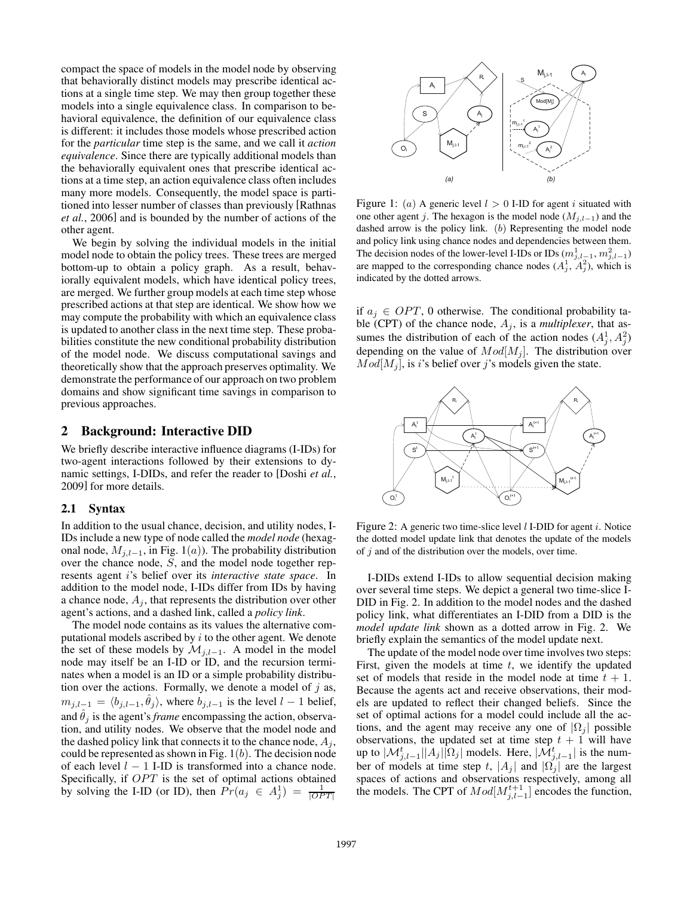compact the space of models in the model node by observing that behaviorally distinct models may prescribe identical actions at a single time step. We may then group together these models into a single equivalence class. In comparison to behavioral equivalence, the definition of our equivalence class is different: it includes those models whose prescribed action for the *particular* time step is the same, and we call it *action equivalence*. Since there are typically additional models than the behaviorally equivalent ones that prescribe identical actions at a time step, an action equivalence class often includes many more models. Consequently, the model space is partitioned into lesser number of classes than previously [Rathnas *et al.*, 2006] and is bounded by the number of actions of the other agent.

We begin by solving the individual models in the initial model node to obtain the policy trees. These trees are merged bottom-up to obtain a policy graph. As a result, behaviorally equivalent models, which have identical policy trees, are merged. We further group models at each time step whose prescribed actions at that step are identical. We show how we may compute the probability with which an equivalence class is updated to another class in the next time step. These probabilities constitute the new conditional probability distribution of the model node. We discuss computational savings and theoretically show that the approach preserves optimality. We demonstrate the performance of our approach on two problem domains and show significant time savings in comparison to previous approaches.

#### 2 Background: Interactive DID

We briefly describe interactive influence diagrams (I-IDs) for two-agent interactions followed by their extensions to dynamic settings, I-DIDs, and refer the reader to [Doshi *et al.*, 2009] for more details.

#### 2.1 Syntax

In addition to the usual chance, decision, and utility nodes, I-IDs include a new type of node called the *model node* (hexagonal node,  $M_{j,l-1}$ , in Fig. 1(a)). The probability distribution over the chance node, S, and the model node together represents agent i's belief over its *interactive state space*. In addition to the model node, I-IDs differ from IDs by having a chance node,  $A_i$ , that represents the distribution over other agent's actions, and a dashed link, called a *policy link*.

The model node contains as its values the alternative computational models ascribed by  $i$  to the other agent. We denote the set of these models by  $\mathcal{M}_{j,l-1}$ . A model in the model node may itself be an I-ID or ID, and the recursion terminates when a model is an ID or a simple probability distribution over the actions. Formally, we denote a model of  $j$  as,  $m_{j,l-1} = \langle b_{j,l-1}, \theta_j \rangle$ , where  $b_{j,l-1}$  is the level  $l-1$  belief, and  $\hat{\theta}_i$  is the agent's *frame* encompassing the action, observation, and utility nodes. We observe that the model node and the dashed policy link that connects it to the chance node,  $A_j$ , could be represented as shown in Fig.  $1(b)$ . The decision node of each level  $l - 1$  I-ID is transformed into a chance node. Specifically, if  $OPT$  is the set of optimal actions obtained by solving the I-ID (or ID), then  $Pr(a_j \in A_j^1) = \frac{1}{|OPT|}$ 



Figure 1: (a) A generic level  $l > 0$  I-ID for agent i situated with one other agent j. The hexagon is the model node  $(M_{j,l-1})$  and the dashed arrow is the policy link.  $(b)$  Representing the model node and policy link using chance nodes and dependencies between them. The decision nodes of the lower-level I-IDs or IDs  $(m_{j,l-1}^1, m_{j,l-1}^2)$ are mapped to the corresponding chance nodes  $(A_j^1, A_j^2)$ , which is indicated by the dotted arrows.

if  $a_j \in OPT$ , 0 otherwise. The conditional probability table (CPT) of the chance node,  $A_j$ , is a *multiplexer*, that assumes the distribution of each of the action nodes  $(A_j^1, A_j^2)$ depending on the value of  $Mod[M_i]$ . The distribution over  $Mod[M_i]$ , is i's belief over j's models given the state.



Figure 2: A generic two time-slice level  $l$  I-DID for agent  $i$ . Notice the dotted model update link that denotes the update of the models of  $j$  and of the distribution over the models, over time.

I-DIDs extend I-IDs to allow sequential decision making over several time steps. We depict a general two time-slice I-DID in Fig. 2. In addition to the model nodes and the dashed policy link, what differentiates an I-DID from a DID is the *model update link* shown as a dotted arrow in Fig. 2. We briefly explain the semantics of the model update next.

The update of the model node over time involves two steps: First, given the models at time  $t$ , we identify the updated set of models that reside in the model node at time  $t + 1$ . Because the agents act and receive observations, their models are updated to reflect their changed beliefs. Since the set of optimal actions for a model could include all the actions, and the agent may receive any one of  $|\Omega_i|$  possible observations, the updated set at time step  $t + 1$  will have up to  $|\mathcal{M}_{j,l-1}^t||A_j||\Omega_j|$  models. Here,  $|\mathcal{M}_{j,l-1}^t|$  is the number of models at time step t,  $|A_i|$  and  $|\Omega_i|$  are the largest spaces of actions and observations respectively, among all the models. The CPT of  $Mod[M_{j,l-1}^{t+1}]$  encodes the function,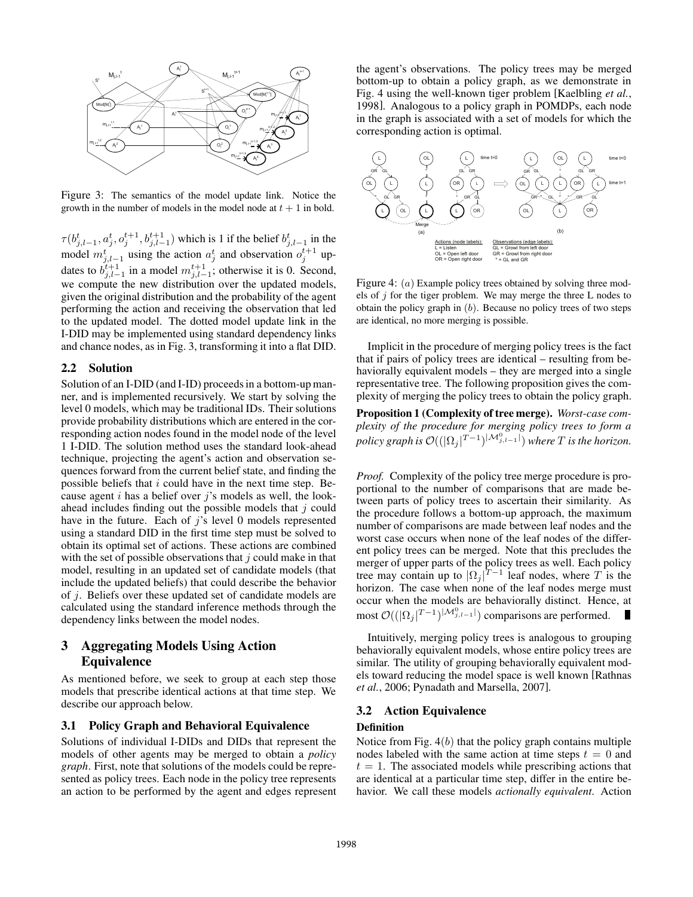

Figure 3: The semantics of the model update link. Notice the growth in the number of models in the model node at  $t + 1$  in bold.

 $\tau(b_{j,l-1}^t, a_j^t, o_j^{t+1}, b_{j,l-1}^{t+1})$  which is 1 if the belief  $b_{j,l-1}^t$  in the model  $m_{j,l-1}^t$  using the action  $a_j^t$  and observation  $o_j^{t+1}$  updates to  $b_{j,l-1}^{i+1}$  in a model  $m_{j,l-1}^{i+1}$ ; otherwise it is 0. Second, we compute the new distribution over the updated models, given the original distribution and the probability of the agent performing the action and receiving the observation that led to the updated model. The dotted model update link in the I-DID may be implemented using standard dependency links and chance nodes, as in Fig. 3, transforming it into a flat DID.

#### 2.2 Solution

Solution of an I-DID (and I-ID) proceeds in a bottom-up manner, and is implemented recursively. We start by solving the level 0 models, which may be traditional IDs. Their solutions provide probability distributions which are entered in the corresponding action nodes found in the model node of the level 1 I-DID. The solution method uses the standard look-ahead technique, projecting the agent's action and observation sequences forward from the current belief state, and finding the possible beliefs that  $i$  could have in the next time step. Because agent i has a belief over j's models as well, the lookahead includes finding out the possible models that  $j$  could have in the future. Each of  $j$ 's level 0 models represented using a standard DID in the first time step must be solved to obtain its optimal set of actions. These actions are combined with the set of possible observations that  $j$  could make in that model, resulting in an updated set of candidate models (that include the updated beliefs) that could describe the behavior of j. Beliefs over these updated set of candidate models are calculated using the standard inference methods through the dependency links between the model nodes.

# 3 Aggregating Models Using Action Equivalence

As mentioned before, we seek to group at each step those models that prescribe identical actions at that time step. We describe our approach below.

#### 3.1 Policy Graph and Behavioral Equivalence

Solutions of individual I-DIDs and DIDs that represent the models of other agents may be merged to obtain a *policy graph*. First, note that solutions of the models could be represented as policy trees. Each node in the policy tree represents an action to be performed by the agent and edges represent the agent's observations. The policy trees may be merged bottom-up to obtain a policy graph, as we demonstrate in Fig. 4 using the well-known tiger problem [Kaelbling *et al.*, 1998]. Analogous to a policy graph in POMDPs, each node in the graph is associated with a set of models for which the corresponding action is optimal.



Figure 4: (*a*) Example policy trees obtained by solving three models of  $j$  for the tiger problem. We may merge the three L nodes to obtain the policy graph in  $(b)$ . Because no policy trees of two steps are identical, no more merging is possible.

Implicit in the procedure of merging policy trees is the fact that if pairs of policy trees are identical – resulting from behaviorally equivalent models – they are merged into a single representative tree. The following proposition gives the complexity of merging the policy trees to obtain the policy graph.

Proposition 1 (Complexity of tree merge). *Worst-case complexity of the procedure for merging policy trees to form a*  $p$ olicy graph is  $\mathcal{O}((|\Omega_j|^{T-1})^{|\mathcal{M}_{j,l-1}^0|})$  where  $T$  is the horizon.

*Proof.* Complexity of the policy tree merge procedure is proportional to the number of comparisons that are made between parts of policy trees to ascertain their similarity. As the procedure follows a bottom-up approach, the maximum number of comparisons are made between leaf nodes and the worst case occurs when none of the leaf nodes of the different policy trees can be merged. Note that this precludes the merger of upper parts of the policy trees as well. Each policy tree may contain up to  $|\Omega_j|^{T-1}$  leaf nodes, where T is the horizon. The case when none of the leaf nodes merge must occur when the models are behaviorally distinct. Hence, at most  $\mathcal{O}((\vert \Omega_j \vert^{T-1})^{\vert \mathcal{M}_{j,l-1}^0 \vert})$  comparisons are performed.

Intuitively, merging policy trees is analogous to grouping behaviorally equivalent models, whose entire policy trees are similar. The utility of grouping behaviorally equivalent models toward reducing the model space is well known [Rathnas *et al.*, 2006; Pynadath and Marsella, 2007].

#### 3.2 Action Equivalence

#### Definition

Notice from Fig.  $4(b)$  that the policy graph contains multiple nodes labeled with the same action at time steps  $t = 0$  and  $t = 1$ . The associated models while prescribing actions that are identical at a particular time step, differ in the entire behavior. We call these models *actionally equivalent*. Action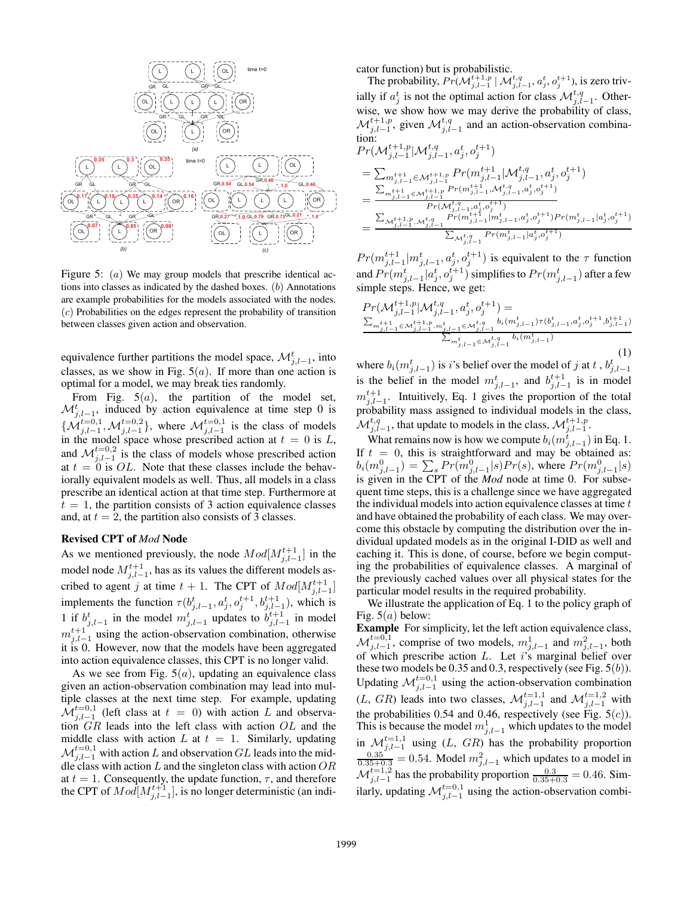

Figure 5: (*a*) We may group models that prescribe identical actions into classes as indicated by the dashed boxes. (b) Annotations are example probabilities for the models associated with the nodes. (c) Probabilities on the edges represent the probability of transition between classes given action and observation.

equivalence further partitions the model space,  $\mathcal{M}_{j,l-1}^{t}$ , into classes, as we show in Fig.  $5(a)$ . If more than one action is optimal for a model, we may break ties randomly.

From Fig.  $5(a)$ , the partition of the model set,  $\mathcal{M}_{j,l-1}^{t}$ , induced by action equivalence at time step 0 is  $\{\mathcal{M}_{j,l-1}^{t=0,1}, \mathcal{M}_{j,l-1}^{t=0,2}\},\$  where  $\mathcal{M}_{j,l-1}^{t=0,1}$  is the class of models in the model space whose prescribed action at  $t = 0$  is L, and  $\mathcal{M}_{j,l-1}^{t=0,2}$  is the class of models whose prescribed action at  $t = 0$  is OL. Note that these classes include the behaviorally equivalent models as well. Thus, all models in a class prescribe an identical action at that time step. Furthermore at  $t = 1$ , the partition consists of 3 action equivalence classes and, at  $t = 2$ , the partition also consists of 3 classes.

#### Revised CPT of *Mod* Node

As we mentioned previously, the node  $Mod[M_{j,l-1}^{t+1}]$  in the model node  $M_{j,l-1}^{t+1}$ , has as its values the different models ascribed to agent j at time  $t + 1$ . The CPT of  $Mod[M_{j,l-1}^{t+1}]$ implements the function  $\tau(b_{j,l-1}^t, a_j^t, o_j^{t+1}, b_{j,l-1}^{t+1})$ , which is 1 if  $b_{j,l-1}^t$  in the model  $m_{j,l-1}^t$  updates to  $b_{j,l-1}^{t+1}$  in model  $m_{j,l-1}^{t+1}$  using the action-observation combination, otherwise it is 0. However, now that the models have been aggregated into action equivalence classes, this CPT is no longer valid.

As we see from Fig.  $5(a)$ , updating an equivalence class given an action-observation combination may lead into multiple classes at the next time step. For example, updating  $\mathcal{M}_{j,l-1}^{t=0,1}$  (left class at  $t = 0$ ) with action L and observation GR leads into the left class with action OL and the middle class with action  $L$  at  $t = 1$ . Similarly, updating  $\mathcal{M}_{j,l-1}^{t=0,1}$  with action L and observation GL leads into the middle class with action  $L$  and the singleton class with action  $OR$ at  $t = 1$ . Consequently, the update function,  $\tau$ , and therefore the CPT of  $Mod[M_{j,l-1}^{t+1}]$ , is no longer deterministic (an indicator function) but is probabilistic.

The probability,  $Pr(\mathcal{M}_{j,l-1}^{t+1,p} | \mathcal{M}_{j,l-1}^{t,q}, a_j^t, o_j^{t+1}),$  is zero trivially if  $a_j^t$  is not the optimal action for class  $\mathcal{M}_{j,l-1}^{t,q}$ . Otherwise, we show how we may derive the probability of class,  $\mathcal{M}_{j,l-1}^{t+1,p}$ , given  $\mathcal{M}_{j,l-1}^{t,q}$  and an action-observation combination:

$$
\begin{aligned} ⪻(\mathcal{M}^{t+1,p}_{j,l-1}|\mathcal{M}^{t,q}_{j,l-1}, a^{t}_{j}, o^{t+1}_{j}) \\ &= \sum_{m^{t+1}_{j,l-1}\in \mathcal{M}^{t+1,p}_{j,l-1}} Pr(m^{t+1}_{j,l-1}|\mathcal{M}^{t,q}_{j,l-1}, a^{t}_{j}, o^{t+1}_{j}) \\ &= \frac{\sum_{m^{t+1}_{j,l-1}\in \mathcal{M}^{t+1,p}_{j,l-1}} Pr(m^{t+1}_{j,l-1}, \mathcal{M}^{t,q}_{j,l-1}, a^{t}_{j}, o^{t+1}_{j})}{Pr(\mathcal{M}^{t,q}_{j,l-1}, a^{t}_{j}, o^{t+1}_{j})} \\ &= \frac{\sum_{\mathcal{M}^{t+1,p}_{j,l-1}, \mathcal{M}^{t,q}_{j,l-1}} Pr(m^{t+1}_{j,l-1} | m^{t}_{j,l-1}, a^{t}_{j}, o^{t+1}_{j}) Pr(m^{t}_{j,l-1} | a^{t}_{j}, o^{t+1}_{j})}{\sum_{\mathcal{M}^{t,q}_{j,l-1}} Pr(m^{t}_{j,l-1} | a^{t}_{j}, o^{t+1}_{j})} \end{aligned}
$$

 $Pr(m_{j,l-1}^{t+1}|m_{j,l-1}^t, a_j^t, o_j^{t+1})$  is equivalent to the  $\tau$  function and  $Pr(m_{j,l-1}^t|a_j^t, o_j^{t+1})$  simplifies to  $Pr(m_{j,l-1}^t)$  after a few simple steps. Hence, we get:

$$
Pr(\mathcal{M}_{j,l-1}^{t+1,p}|\mathcal{M}_{j,l-1}^{t,q}, a_j^t, o_j^{t+1}) = \n\frac{\sum_{m_{j,l-1}^{t+1} \in \mathcal{M}_{j,l-1}^{t+1}, m_{j,l-1}^t \in \mathcal{M}_{j,l-1}^{t,q}} b_i(m_{j,l-1}^t) \tau(b_{j,l-1}^t, a_j^t, o_j^{t+1}, b_{j,l-1}^{t+1})}{\sum_{m_{j,l-1}^t \in \mathcal{M}_{j,l-1}^{t,q}} b_i(m_{j,l-1}^t)} \n\tag{1}
$$

where  $b_i(m_{j,l-1}^t)$  is *i*'s belief over the model of *j* at *t*,  $b_{j,l-1}^t$ is the belief in the model  $m_{j,l-1}^t$ , and  $b_{j,l-1}^{t+1}$  is in model  $m_{j,l-1}^{t+1}$ . Intuitively, Eq. 1 gives the proportion of the total probability mass assigned to individual models in the class,  $\mathcal{M}_{j,l-1}^{t,q}$ , that update to models in the class,  $\mathcal{M}_{j,l-1}^{t+1,p}$ .

What remains now is how we compute  $b_i(m_{j,l-1}^i)$  in Eq. 1. If  $t = 0$ , this is straightforward and may be obtained as:  $b_i(m_{j,l-1}^0) = \sum_s Pr(m_{j,l-1}^0|s)Pr(s)$ , where  $Pr(m_{j,l-1}^0|s)$ is given in the CPT of the *Mod* node at time 0. For subsequent time steps, this is a challenge since we have aggregated the individual models into action equivalence classes at time  $t$ and have obtained the probability of each class. We may overcome this obstacle by computing the distribution over the individual updated models as in the original I-DID as well and caching it. This is done, of course, before we begin computing the probabilities of equivalence classes. A marginal of the previously cached values over all physical states for the particular model results in the required probability.

We illustrate the application of Eq. 1 to the policy graph of Fig.  $5(a)$  below:

Example For simplicity, let the left action equivalence class,  $\mathcal{M}_{j,l-1}^{t=0,1}$ , comprise of two models,  $m_{j,l-1}^1$  and  $m_{j,l-1}^2$ , both of which prescribe action  $L$ . Let  $i$ 's marginal belief over these two models be 0.35 and 0.3, respectively (see Fig.  $5(b)$ ). Updating  $\mathcal{M}_{j,l-1}^{t=0,1}$  using the action-observation combination  $(L, GR)$  leads into two classes,  $\mathcal{M}_{j,l-1}^{t=1,1}$  and  $\mathcal{M}_{j,l-1}^{t=1,2}$  with the probabilities 0.54 and 0.46, respectively (see Fig.  $5(c)$ ). This is because the model  $m_{j,l-1}^1$  which updates to the model in  $\mathcal{M}_{j,l-1}^{t=1,1}$  using  $(L, GR)$  has the probability proportion  $\frac{0.35^{80}}{0.35+0.3} = 0.54$ . Model  $m_{j,l-1}^2$  which updates to a model in  $\mathcal{M}_{j,l-1}^{t=1,2}$  has the probability proportion  $\frac{0.3}{0.35+0.3} = 0.46$ . Similarly, updating  $\mathcal{M}_{j,l-1}^{t=0,1}$  using the action-observation combi-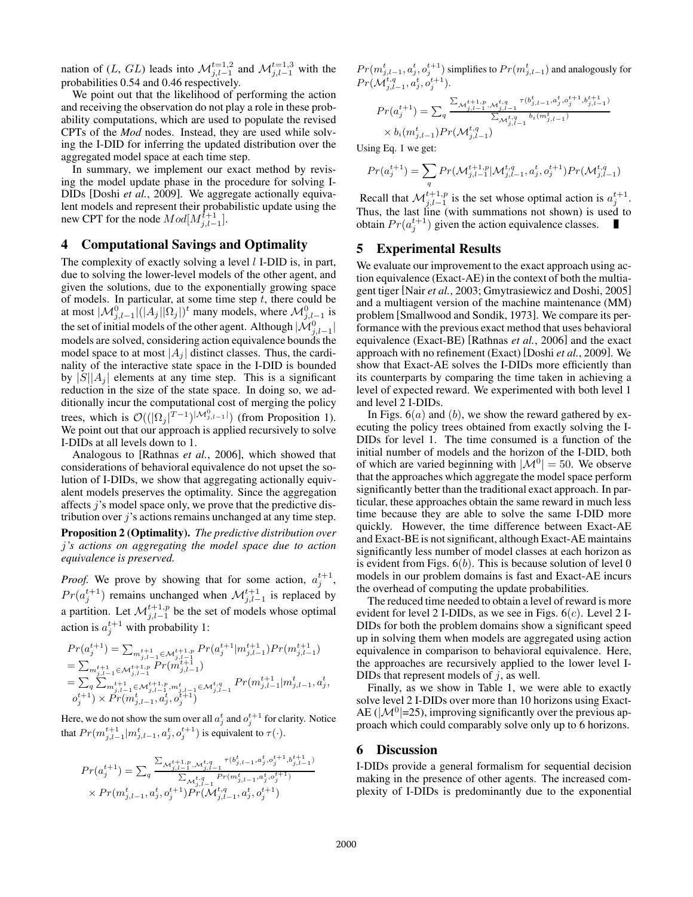nation of (L, GL) leads into  $\mathcal{M}_{j,l-1}^{t=1,2}$  and  $\mathcal{M}_{j,l-1}^{t=1,3}$  with the probabilities 0.54 and 0.46 respectively.

We point out that the likelihood of performing the action and receiving the observation do not play a role in these probability computations, which are used to populate the revised CPTs of the *Mod* nodes. Instead, they are used while solving the I-DID for inferring the updated distribution over the aggregated model space at each time step.

In summary, we implement our exact method by revising the model update phase in the procedure for solving I-DIDs [Doshi *et al.*, 2009]. We aggregate actionally equivalent models and represent their probabilistic update using the new CPT for the node  $Mod[M_{j,l-1}^{t+1}]$ .

## 4 Computational Savings and Optimality

The complexity of exactly solving a level  $l$  I-DID is, in part, due to solving the lower-level models of the other agent, and given the solutions, due to the exponentially growing space of models. In particular, at some time step  $t$ , there could be at most  $|\mathcal{M}_{j,l-1}^0|(|A_j||\Omega_j|)^t$  many models, where  $\mathcal{M}_{j,l-1}^0$  is the set of initial models of the other agent. Although  $|\mathcal{M}_{j,l-1}^0|$ models are solved, considering action equivalence bounds the model space to at most  $|A_i|$  distinct classes. Thus, the cardinality of the interactive state space in the I-DID is bounded by  $|S||A_j|$  elements at any time step. This is a significant reduction in the size of the state space. In doing so, we additionally incur the computational cost of merging the policy trees, which is  $\mathcal{O}((\Omega_j|T-1)^{|\mathcal{M}_{j,l-1}^0|})$  (from Proposition 1). We point out that our approach is applied recursively to solve I-DIDs at all levels down to 1.

Analogous to [Rathnas *et al.*, 2006], which showed that considerations of behavioral equivalence do not upset the solution of I-DIDs, we show that aggregating actionally equivalent models preserves the optimality. Since the aggregation affects j's model space only, we prove that the predictive distribution over j's actions remains unchanged at any time step.

Proposition 2 (Optimality). *The predictive distribution over* j*'s actions on aggregating the model space due to action equivalence is preserved.*

*Proof.* We prove by showing that for some action,  $a_j^{t+1}$ ,  $Pr(a_j^{t+1})$  remains unchanged when  $\mathcal{M}_{j,l-1}^{t+1}$  is replaced by a partition. Let  $\mathcal{M}_{j,l-1}^{t+1,p}$  be the set of models whose optimal action is  $a_j^{t+1}$  with probability 1:

$$
\begin{array}{l} Pr(a_j^{t+1}) = \sum_{m_{j,l-1}^{t+1} \in \mathcal{M}_{j,l+1}^{t+1,p}} Pr(a_j^{t+1}|m_{j,l-1}^{t+1}) Pr(m_{j,l-1}^{t+1}) \\ = \sum_{m_{j,l-1}^{t+1} \in \mathcal{M}_{j,l-1}^{t+1,p}} Pr(m_{j,l-1}^{t+1}) \\ = \sum_{q} \sum_{m_{j,l-1}^{t+1} \in \mathcal{M}_{j,l-1}^{t+1,p}, m_{j,l-1}^{t} \in \mathcal{M}_{j,l-1}^{t,q}} Pr(m_{j,l-1}^{t+1}|m_{j,l-1}^{t}, a_j^{t}, \\ o_j^{t+1}) \times Pr(m_{j,l-1}^{t}, a_j^{t}, o_j^{t+1}) \end{array}
$$

Here, we do not show the sum over all  $a_j^t$  and  $o_j^{t+1}$  for clarity. Notice that  $Pr(m_{j,l-1}^{t+1}|m_{j,l-1}^t, a_j^t, o_j^{t+1})$  is equivalent to  $\tau(\cdot)$ .

$$
Pr(a_j^{t+1}) = \sum_{q} \frac{\sum_{\substack{\mathcal{M}_{j,l-1}^{t+1,p}, \mathcal{M}_{j,l-1}^{t,q}}} \tau(b_{j,l-1}^t, a_j^t, o_j^{t+1}, b_{j,l-1}^{t+1})}{\sum_{\substack{\mathcal{M}_{j,l-1}^{t,q}}} P_r(m_{j,l-1}^t, a_j^t, o_j^{t+1})}
$$
  
× 
$$
Pr(m_{j,l-1}^t, a_j^t, o_j^{t+1}) Pr(\mathcal{M}_{j,l-1}^{t,q}, a_j^t, o_j^{t+1})
$$

 $Pr(m_{j,l-1}^t, a_j^t, o_j^{t+1})$  simplifies to  $Pr(m_{j,l-1}^t)$  and analogously for  $Pr(\mathcal{M}^{t,q}_{j,l-1}, a^t_j, o^{t+1}_j).$ 

$$
Pr(a_j^{t+1}) = \sum_{q} \frac{\sum_{\substack{\mathcal{M}_{j,l-1}^{t+1,p}, \mathcal{M}_{j,l-1}^{t,q}}} \tau(b_{j,l-1}^t, a_j^t, o_j^{t+1}, b_{j,l-1}^{t+1})}{\sum_{\substack{\mathcal{M}_{j,l-1}^{t,q}}} b_i(m_{j,l-1}^t)}.
$$

Using Eq. 1 we get:

$$
Pr(a_j^{t+1}) = \sum_{q} Pr(\mathcal{M}_{j,l-1}^{t+1,p} | \mathcal{M}_{j,l-1}^{t,q}, a_j^t, o_j^{t+1}) Pr(\mathcal{M}_{j,l-1}^{t,q})
$$

Recall that  $\mathcal{M}_{j,l-1}^{t+1,p}$  is the set whose optimal action is  $a_j^{t+1}$ . Thus, the last line (with summations not shown) is used to obtain  $Pr(a_j^{t+1})$  given the action equivalence classes.

# 5 Experimental Results

We evaluate our improvement to the exact approach using action equivalence (Exact-AE) in the context of both the multiagent tiger [Nair *et al.*, 2003; Gmytrasiewicz and Doshi, 2005] and a multiagent version of the machine maintenance (MM) problem [Smallwood and Sondik, 1973]. We compare its performance with the previous exact method that uses behavioral equivalence (Exact-BE) [Rathnas *et al.*, 2006] and the exact approach with no refinement (Exact) [Doshi *et al.*, 2009]. We show that Exact-AE solves the I-DIDs more efficiently than its counterparts by comparing the time taken in achieving a level of expected reward. We experimented with both level 1 and level 2 I-DIDs.

In Figs.  $6(a)$  and  $(b)$ , we show the reward gathered by executing the policy trees obtained from exactly solving the I-DIDs for level 1. The time consumed is a function of the initial number of models and the horizon of the I-DID, both of which are varied beginning with  $|\mathcal{M}^0| = 50$ . We observe that the approaches which aggregate the model space perform significantly better than the traditional exact approach. In particular, these approaches obtain the same reward in much less time because they are able to solve the same I-DID more quickly. However, the time difference between Exact-AE and Exact-BE is not significant, although Exact-AE maintains significantly less number of model classes at each horizon as is evident from Figs.  $6(b)$ . This is because solution of level 0 models in our problem domains is fast and Exact-AE incurs the overhead of computing the update probabilities.

The reduced time needed to obtain a level of reward is more evident for level 2 I-DIDs, as we see in Figs.  $6(c)$ . Level 2 I-DIDs for both the problem domains show a significant speed up in solving them when models are aggregated using action equivalence in comparison to behavioral equivalence. Here, the approaches are recursively applied to the lower level I-DIDs that represent models of  $j$ , as well.

Finally, as we show in Table 1, we were able to exactly solve level 2 I-DIDs over more than 10 horizons using Exact-AE ( $|\mathcal{M}^0|$ =25), improving significantly over the previous approach which could comparably solve only up to 6 horizons.

#### 6 Discussion

I-DIDs provide a general formalism for sequential decision making in the presence of other agents. The increased complexity of I-DIDs is predominantly due to the exponential